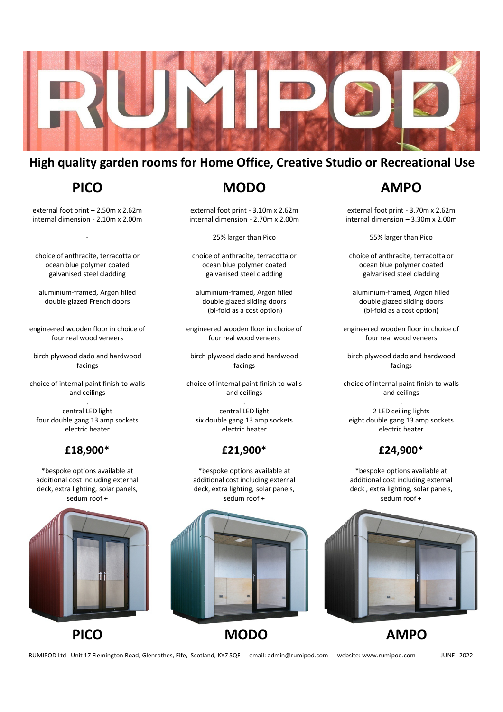

# **High quality garden rooms for Home Office, Creative Studio or Recreational Use**

# **PICO**

external foot print – 2.50m x 2.62m internal dimension - 2.10m x 2.00m

-

choice of anthracite, terracotta or ocean blue polymer coated galvanised steel cladding

aluminium-framed, Argon filled double glazed French doors

engineered wooden floor in choice of four real wood veneers

birch plywood dado and hardwood facings

choice of internal paint finish to walls and ceilings .

central LED light four double gang 13 amp sockets electric heater

#### **£18,900**\*

\*bespoke options available at additional cost including external deck, extra lighting, solar panels, sedum roof +





**MODO**

external foot print - 3.10m x 2.62m internal dimension - 2.70m x 2.00m

25% larger than Pico

choice of anthracite, terracotta or ocean blue polymer coated galvanised steel cladding

aluminium-framed, Argon filled double glazed sliding doors (bi-fold as a cost option)

engineered wooden floor in choice of four real wood veneers

birch plywood dado and hardwood facings

choice of internal paint finish to walls and ceilings

. central LED light six double gang 13 amp sockets electric heater

## **£21,900**\*

\*bespoke options available at additional cost including external deck, extra lighting, solar panels, sedum roof +



# **PICO MODO AMPO**

# **AMPO**

external foot print - 3.70m x 2.62m internal dimension – 3.30m x 2.00m

55% larger than Pico

choice of anthracite, terracotta or ocean blue polymer coated galvanised steel cladding

aluminium-framed, Argon filled double glazed sliding doors (bi-fold as a cost option)

engineered wooden floor in choice of four real wood veneers

birch plywood dado and hardwood facings

choice of internal paint finish to walls and ceilings

. 2 LED ceiling lights eight double gang 13 amp sockets electric heater

## **£24,900**\*

\*bespoke options available at additional cost including external deck , extra lighting, solar panels, sedum roof +



RUMIPOD Ltd Unit 17 Flemington Road, Glenrothes, Fife, Scotland, KY7 5QF email: admin@rumipod.com website: www.rumipod.com JUNE 2022